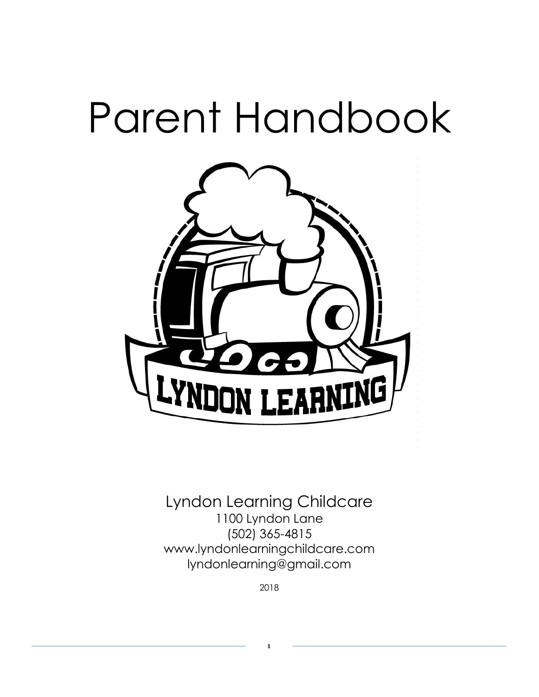# Parent Handbook



Lyndon Learning Childcare 1100 Lyndon Lane (502) 365-4815 www.lyndonlearningchildcare.com lyndonlearning@gmail.com

2018

**1**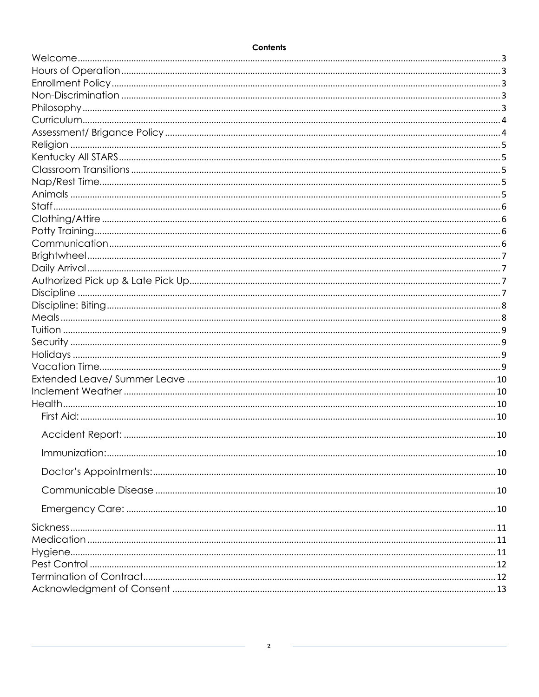#### Contents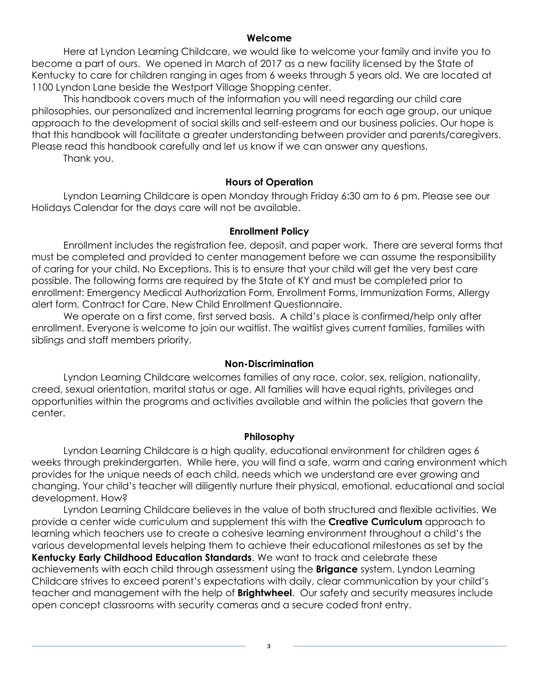## **Welcome**

<span id="page-2-0"></span>Here at Lyndon Learning Childcare, we would like to welcome your family and invite you to become a part of ours. We opened in March of 2017 as a new facility licensed by the State of Kentucky to care for children ranging in ages from 6 weeks through 5 years old. We are located at 1100 Lyndon Lane beside the Westport Village Shopping center.

This handbook covers much of the information you will need regarding our child care philosophies, our personalized and incremental learning programs for each age group, our unique approach to the development of social skills and self-esteem and our business policies. Our hope is that this handbook will facilitate a greater understanding between provider and parents/caregivers. Please read this handbook carefully and let us know if we can answer any questions.

Thank you.

## **Hours of Operation**

<span id="page-2-1"></span>Lyndon Learning Childcare is open Monday through Friday 6:30 am to 6 pm. Please see our Holidays Calendar for the days care will not be available.

## **Enrollment Policy**

<span id="page-2-2"></span>Enrollment includes the registration fee, deposit, and paper work. There are several forms that must be completed and provided to center management before we can assume the responsibility of caring for your child. No Exceptions. This is to ensure that your child will get the very best care possible. The following forms are required by the State of KY and must be completed prior to enrollment: Emergency Medical Authorization Form, Enrollment Forms, Immunization Forms, Allergy alert form, Contract for Care, New Child Enrollment Questionnaire.

We operate on a first come, first served basis. A child's place is confirmed/help only after enrollment. Everyone is welcome to join our waitlist. The waitlist gives current families, families with siblings and staff members priority.

#### **Non-Discrimination**

<span id="page-2-3"></span>Lyndon Learning Childcare welcomes families of any race, color, sex, religion, nationality, creed, sexual orientation, marital status or age. All families will have equal rights, privileges and opportunities within the programs and activities available and within the policies that govern the center.

#### **Philosophy**

<span id="page-2-4"></span>Lyndon Learning Childcare is a high quality, educational environment for children ages 6 weeks through prekindergarten. While here, you will find a safe, warm and caring environment which provides for the unique needs of each child, needs which we understand are ever growing and changing. Your child's teacher will diligently nurture their physical, emotional, educational and social development. How?

Lyndon Learning Childcare believes in the value of both structured and flexible activities. We provide a center wide curriculum and supplement this with the **Creative Curriculum** approach to learning which teachers use to create a cohesive learning environment throughout a child's the various developmental levels helping them to achieve their educational milestones as set by the **Kentucky Early Childhood Education Standards**. We want to track and celebrate these achievements with each child through assessment using the **Brigance** system. Lyndon Learning Childcare strives to exceed parent's expectations with daily, clear communication by your child's teacher and management with the help of **Brightwheel**. Our safety and security measures include open concept classrooms with security cameras and a secure coded front entry.

**3**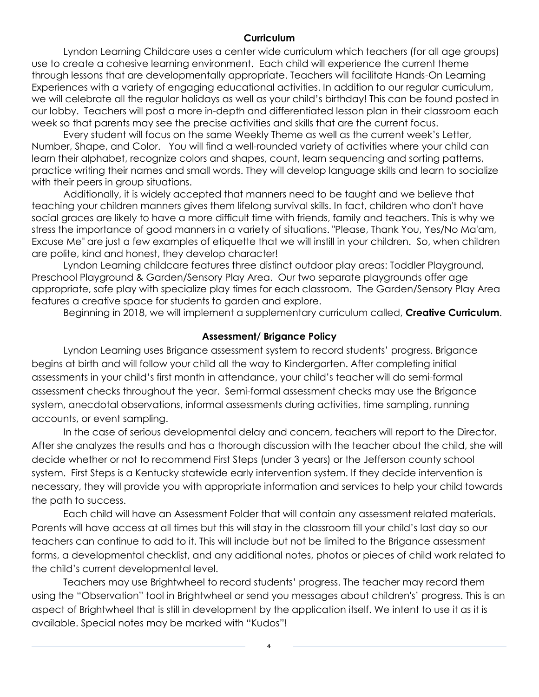## **Curriculum**

<span id="page-3-0"></span>Lyndon Learning Childcare uses a center wide curriculum which teachers (for all age groups) use to create a cohesive learning environment. Each child will experience the current theme through lessons that are developmentally appropriate. Teachers will facilitate Hands-On Learning Experiences with a variety of engaging educational activities. In addition to our regular curriculum, we will celebrate all the regular holidays as well as your child's birthday! This can be found posted in our lobby. Teachers will post a more in-depth and differentiated lesson plan in their classroom each week so that parents may see the precise activities and skills that are the current focus.

Every student will focus on the same Weekly Theme as well as the current week's Letter, Number, Shape, and Color. You will find a well-rounded variety of activities where your child can learn their alphabet, recognize colors and shapes, count, learn sequencing and sorting patterns, practice writing their names and small words. They will develop language skills and learn to socialize with their peers in group situations.

Additionally, it is widely accepted that manners need to be taught and we believe that teaching your children manners gives them lifelong survival skills. In fact, children who don't have social graces are likely to have a more difficult time with friends, family and teachers. This is why we stress the importance of good manners in a variety of situations. "Please, Thank You, Yes/No Ma'am, Excuse Me" are just a few examples of etiquette that we will instill in your children. So, when children are polite, kind and honest, they develop character!

Lyndon Learning childcare features three distinct outdoor play areas: Toddler Playground, Preschool Playground & Garden/Sensory Play Area. Our two separate playgrounds offer age appropriate, safe play with specialize play times for each classroom. The Garden/Sensory Play Area features a creative space for students to garden and explore.

Beginning in 2018, we will implement a supplementary curriculum called, **Creative Curriculum**.

## **Assessment/ Brigance Policy**

<span id="page-3-1"></span>Lyndon Learning uses Brigance assessment system to record students' progress. Brigance begins at birth and will follow your child all the way to Kindergarten. After completing initial assessments in your child's first month in attendance, your child's teacher will do semi-formal assessment checks throughout the year. Semi-formal assessment checks may use the Brigance system, anecdotal observations, informal assessments during activities, time sampling, running accounts, or event sampling.

In the case of serious developmental delay and concern, teachers will report to the Director. After she analyzes the results and has a thorough discussion with the teacher about the child, she will decide whether or not to recommend First Steps (under 3 years) or the Jefferson county school system. First Steps is a Kentucky statewide early intervention system. If they decide intervention is necessary, they will provide you with appropriate information and services to help your child towards the path to success.

Each child will have an Assessment Folder that will contain any assessment related materials. Parents will have access at all times but this will stay in the classroom till your child's last day so our teachers can continue to add to it. This will include but not be limited to the Brigance assessment forms, a developmental checklist, and any additional notes, photos or pieces of child work related to the child's current developmental level.

Teachers may use Brightwheel to record students' progress. The teacher may record them using the "Observation" tool in Brightwheel or send you messages about children's' progress. This is an aspect of Brightwheel that is still in development by the application itself. We intent to use it as it is available. Special notes may be marked with "Kudos"!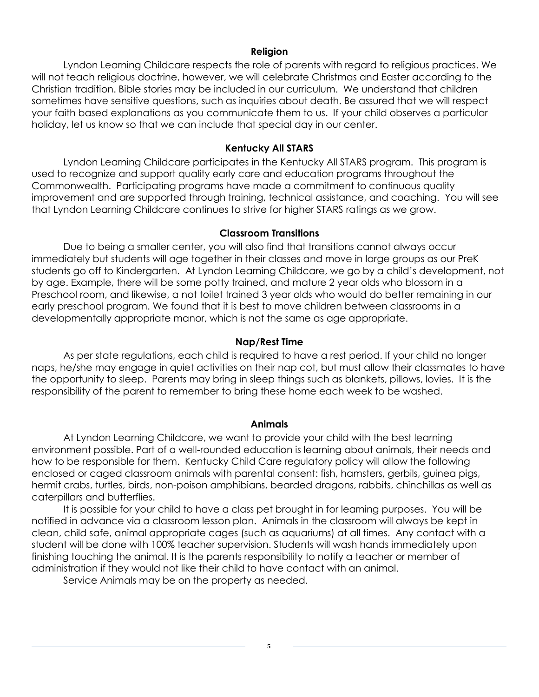## **Religion**

<span id="page-4-0"></span>Lyndon Learning Childcare respects the role of parents with regard to religious practices. We will not teach religious doctrine, however, we will celebrate Christmas and Easter according to the Christian tradition. Bible stories may be included in our curriculum. We understand that children sometimes have sensitive questions, such as inquiries about death. Be assured that we will respect your faith based explanations as you communicate them to us. If your child observes a particular holiday, let us know so that we can include that special day in our center.

## **Kentucky All STARS**

<span id="page-4-1"></span>Lyndon Learning Childcare participates in the Kentucky All STARS program. This program is used to recognize and support quality early care and education programs throughout the Commonwealth. Participating programs have made a commitment to continuous quality improvement and are supported through training, technical assistance, and coaching. You will see that Lyndon Learning Childcare continues to strive for higher STARS ratings as we grow.

## **Classroom Transitions**

<span id="page-4-2"></span>Due to being a smaller center, you will also find that transitions cannot always occur immediately but students will age together in their classes and move in large groups as our PreK students go off to Kindergarten. At Lyndon Learning Childcare, we go by a child's development, not by age. Example, there will be some potty trained, and mature 2 year olds who blossom in a Preschool room, and likewise, a not toilet trained 3 year olds who would do better remaining in our early preschool program. We found that it is best to move children between classrooms in a developmentally appropriate manor, which is not the same as age appropriate.

## **Nap/Rest Time**

<span id="page-4-3"></span>As per state regulations, each child is required to have a rest period. If your child no longer naps, he/she may engage in quiet activities on their nap cot, but must allow their classmates to have the opportunity to sleep. Parents may bring in sleep things such as blankets, pillows, lovies. It is the responsibility of the parent to remember to bring these home each week to be washed.

#### **Animals**

<span id="page-4-4"></span>At Lyndon Learning Childcare, we want to provide your child with the best learning environment possible. Part of a well-rounded education is learning about animals, their needs and how to be responsible for them. Kentucky Child Care regulatory policy will allow the following enclosed or caged classroom animals with parental consent: fish, hamsters, gerbils, guinea pigs, hermit crabs, turtles, birds, non-poison amphibians, bearded dragons, rabbits, chinchillas as well as caterpillars and butterflies.

It is possible for your child to have a class pet brought in for learning purposes. You will be notified in advance via a classroom lesson plan. Animals in the classroom will always be kept in clean, child safe, animal appropriate cages (such as aquariums) at all times. Any contact with a student will be done with 100% teacher supervision. Students will wash hands immediately upon finishing touching the animal. It is the parents responsibility to notify a teacher or member of administration if they would not like their child to have contact with an animal.

Service Animals may be on the property as needed.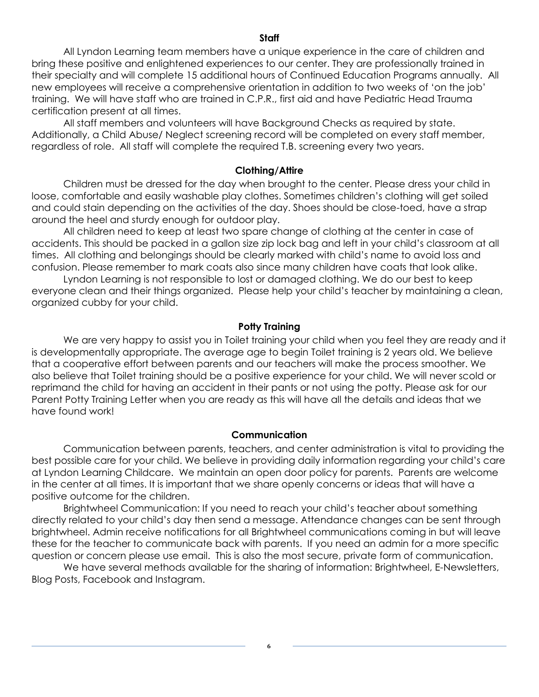## **Staff**

<span id="page-5-0"></span>All Lyndon Learning team members have a unique experience in the care of children and bring these positive and enlightened experiences to our center. They are professionally trained in their specialty and will complete 15 additional hours of Continued Education Programs annually. All new employees will receive a comprehensive orientation in addition to two weeks of 'on the job' training. We will have staff who are trained in C.P.R., first aid and have Pediatric Head Trauma certification present at all times.

All staff members and volunteers will have Background Checks as required by state. Additionally, a Child Abuse/ Neglect screening record will be completed on every staff member, regardless of role. All staff will complete the required T.B. screening every two years.

#### **Clothing/Attire**

<span id="page-5-1"></span>Children must be dressed for the day when brought to the center. Please dress your child in loose, comfortable and easily washable play clothes. Sometimes children's clothing will get soiled and could stain depending on the activities of the day. Shoes should be close-toed, have a strap around the heel and sturdy enough for outdoor play.

All children need to keep at least two spare change of clothing at the center in case of accidents. This should be packed in a gallon size zip lock bag and left in your child's classroom at all times. All clothing and belongings should be clearly marked with child's name to avoid loss and confusion. Please remember to mark coats also since many children have coats that look alike.

Lyndon Learning is not responsible to lost or damaged clothing. We do our best to keep everyone clean and their things organized. Please help your child's teacher by maintaining a clean, organized cubby for your child.

## **Potty Training**

<span id="page-5-2"></span>We are very happy to assist you in Toilet training your child when you feel they are ready and it is developmentally appropriate. The average age to begin Toilet training is 2 years old. We believe that a cooperative effort between parents and our teachers will make the process smoother. We also believe that Toilet training should be a positive experience for your child. We will never scold or reprimand the child for having an accident in their pants or not using the potty. Please ask for our Parent Potty Training Letter when you are ready as this will have all the details and ideas that we have found work!

#### **Communication**

<span id="page-5-3"></span>Communication between parents, teachers, and center administration is vital to providing the best possible care for your child. We believe in providing daily information regarding your child's care at Lyndon Learning Childcare. We maintain an open door policy for parents. Parents are welcome in the center at all times. It is important that we share openly concerns or ideas that will have a positive outcome for the children.

Brightwheel Communication: If you need to reach your child's teacher about something directly related to your child's day then send a message. Attendance changes can be sent through brightwheel. Admin receive notifications for all Brightwheel communications coming in but will leave these for the teacher to communicate back with parents. If you need an admin for a more specific question or concern please use email. This is also the most secure, private form of communication.

We have several methods available for the sharing of information: Brightwheel, E-Newsletters, Blog Posts, Facebook and Instagram.

**6**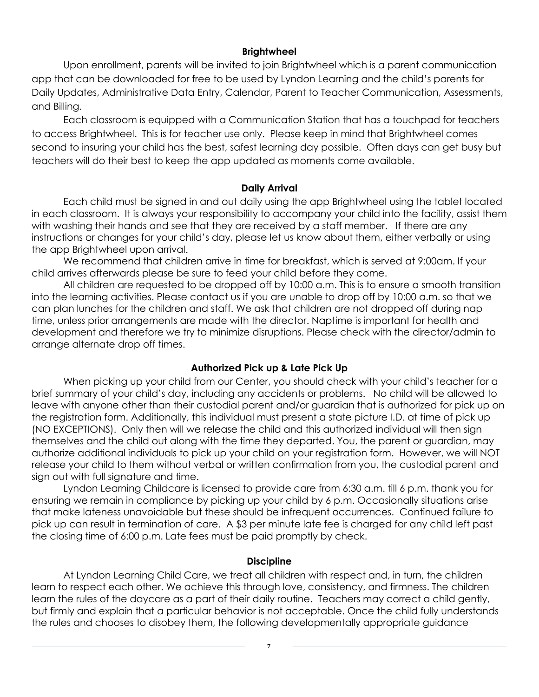## **Brightwheel**

<span id="page-6-0"></span>Upon enrollment, parents will be invited to join Brightwheel which is a parent communication app that can be downloaded for free to be used by Lyndon Learning and the child's parents for Daily Updates, Administrative Data Entry, Calendar, Parent to Teacher Communication, Assessments, and Billing.

Each classroom is equipped with a Communication Station that has a touchpad for teachers to access Brightwheel. This is for teacher use only. Please keep in mind that Brightwheel comes second to insuring your child has the best, safest learning day possible. Often days can get busy but teachers will do their best to keep the app updated as moments come available.

## **Daily Arrival**

<span id="page-6-1"></span>Each child must be signed in and out daily using the app Brightwheel using the tablet located in each classroom. It is always your responsibility to accompany your child into the facility, assist them with washing their hands and see that they are received by a staff member. If there are any instructions or changes for your child's day, please let us know about them, either verbally or using the app Brightwheel upon arrival.

We recommend that children arrive in time for breakfast, which is served at 9:00am. If your child arrives afterwards please be sure to feed your child before they come.

All children are requested to be dropped off by 10:00 a.m. This is to ensure a smooth transition into the learning activities. Please contact us if you are unable to drop off by 10:00 a.m. so that we can plan lunches for the children and staff. We ask that children are not dropped off during nap time, unless prior arrangements are made with the director. Naptime is important for health and development and therefore we try to minimize disruptions. Please check with the director/admin to arrange alternate drop off times.

## **Authorized Pick up & Late Pick Up**

<span id="page-6-2"></span>When picking up your child from our Center, you should check with your child's teacher for a brief summary of your child's day, including any accidents or problems. No child will be allowed to leave with anyone other than their custodial parent and/or guardian that is authorized for pick up on the registration form. Additionally, this individual must present a state picture I.D. at time of pick up (NO EXCEPTIONS). Only then will we release the child and this authorized individual will then sign themselves and the child out along with the time they departed. You, the parent or guardian, may authorize additional individuals to pick up your child on your registration form. However, we will NOT release your child to them without verbal or written confirmation from you, the custodial parent and sign out with full signature and time.

Lyndon Learning Childcare is licensed to provide care from 6:30 a.m. till 6 p.m. thank you for ensuring we remain in compliance by picking up your child by 6 p.m. Occasionally situations arise that make lateness unavoidable but these should be infrequent occurrences. Continued failure to pick up can result in termination of care. A \$3 per minute late fee is charged for any child left past the closing time of 6:00 p.m. Late fees must be paid promptly by check.

## **Discipline**

<span id="page-6-3"></span>At Lyndon Learning Child Care, we treat all children with respect and, in turn, the children learn to respect each other. We achieve this through love, consistency, and firmness. The children learn the rules of the daycare as a part of their daily routine. Teachers may correct a child gently, but firmly and explain that a particular behavior is not acceptable. Once the child fully understands the rules and chooses to disobey them, the following developmentally appropriate guidance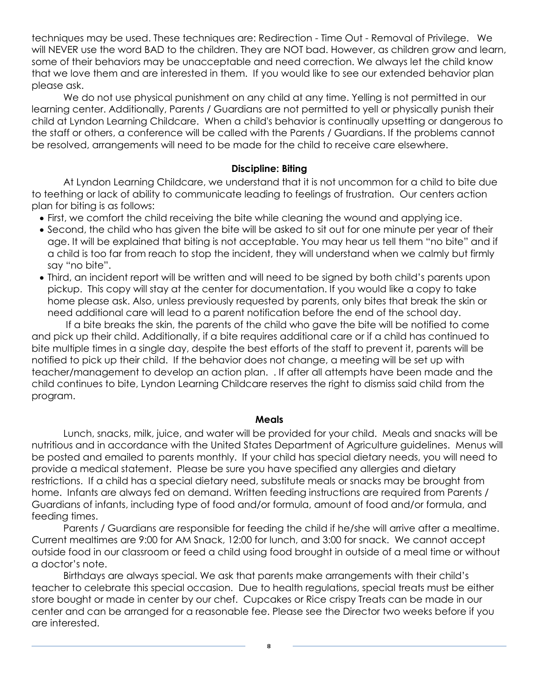techniques may be used. These techniques are: Redirection - Time Out - Removal of Privilege. We will NEVER use the word BAD to the children. They are NOT bad. However, as children grow and learn, some of their behaviors may be unacceptable and need correction. We always let the child know that we love them and are interested in them. If you would like to see our extended behavior plan please ask.

We do not use physical punishment on any child at any time. Yelling is not permitted in our learning center. Additionally, Parents / Guardians are not permitted to yell or physically punish their child at Lyndon Learning Childcare. When a child's behavior is continually upsetting or dangerous to the staff or others, a conference will be called with the Parents / Guardians. If the problems cannot be resolved, arrangements will need to be made for the child to receive care elsewhere.

## **Discipline: Biting**

<span id="page-7-0"></span>At Lyndon Learning Childcare, we understand that it is not uncommon for a child to bite due to teething or lack of ability to communicate leading to feelings of frustration. Our centers action plan for biting is as follows:

- First, we comfort the child receiving the bite while cleaning the wound and applying ice.
- Second, the child who has given the bite will be asked to sit out for one minute per year of their age. It will be explained that biting is not acceptable. You may hear us tell them "no bite" and if a child is too far from reach to stop the incident, they will understand when we calmly but firmly say "no bite".
- Third, an incident report will be written and will need to be signed by both child's parents upon pickup. This copy will stay at the center for documentation. If you would like a copy to take home please ask. Also, unless previously requested by parents, only bites that break the skin or need additional care will lead to a parent notification before the end of the school day.

If a bite breaks the skin, the parents of the child who gave the bite will be notified to come and pick up their child. Additionally, if a bite requires additional care or if a child has continued to bite multiple times in a single day, despite the best efforts of the staff to prevent it, parents will be notified to pick up their child. If the behavior does not change, a meeting will be set up with teacher/management to develop an action plan. . If after all attempts have been made and the child continues to bite, Lyndon Learning Childcare reserves the right to dismiss said child from the program.

## **Meals**

<span id="page-7-1"></span>Lunch, snacks, milk, juice, and water will be provided for your child. Meals and snacks will be nutritious and in accordance with the United States Department of Agriculture guidelines. Menus will be posted and emailed to parents monthly. If your child has special dietary needs, you will need to provide a medical statement. Please be sure you have specified any allergies and dietary restrictions. If a child has a special dietary need, substitute meals or snacks may be brought from home. Infants are always fed on demand. Written feeding instructions are required from Parents / Guardians of infants, including type of food and/or formula, amount of food and/or formula, and feeding times.

Parents / Guardians are responsible for feeding the child if he/she will arrive after a mealtime. Current mealtimes are 9:00 for AM Snack, 12:00 for lunch, and 3:00 for snack. We cannot accept outside food in our classroom or feed a child using food brought in outside of a meal time or without a doctor's note.

Birthdays are always special. We ask that parents make arrangements with their child's teacher to celebrate this special occasion. Due to health regulations, special treats must be either store bought or made in center by our chef. Cupcakes or Rice crispy Treats can be made in our center and can be arranged for a reasonable fee. Please see the Director two weeks before if you are interested.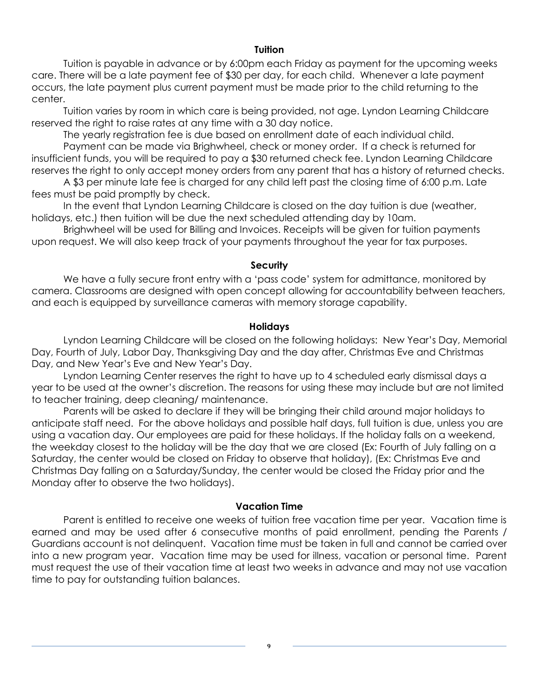## **Tuition**

<span id="page-8-0"></span>Tuition is payable in advance or by 6:00pm each Friday as payment for the upcoming weeks care. There will be a late payment fee of \$30 per day, for each child. Whenever a late payment occurs, the late payment plus current payment must be made prior to the child returning to the center.

Tuition varies by room in which care is being provided, not age. Lyndon Learning Childcare reserved the right to raise rates at any time with a 30 day notice.

The yearly registration fee is due based on enrollment date of each individual child.

Payment can be made via Brighwheel, check or money order. If a check is returned for insufficient funds, you will be required to pay a \$30 returned check fee. Lyndon Learning Childcare reserves the right to only accept money orders from any parent that has a history of returned checks.

A \$3 per minute late fee is charged for any child left past the closing time of 6:00 p.m. Late fees must be paid promptly by check.

In the event that Lyndon Learning Childcare is closed on the day tuition is due (weather, holidays, etc.) then tuition will be due the next scheduled attending day by 10am.

Brighwheel will be used for Billing and Invoices. Receipts will be given for tuition payments upon request. We will also keep track of your payments throughout the year for tax purposes.

#### **Security**

<span id="page-8-1"></span>We have a fully secure front entry with a 'pass code' system for admittance, monitored by camera. Classrooms are designed with open concept allowing for accountability between teachers, and each is equipped by surveillance cameras with memory storage capability.

## **Holidays**

<span id="page-8-2"></span>Lyndon Learning Childcare will be closed on the following holidays: New Year's Day, Memorial Day, Fourth of July, Labor Day, Thanksgiving Day and the day after, Christmas Eve and Christmas Day, and New Year's Eve and New Year's Day.

Lyndon Learning Center reserves the right to have up to 4 scheduled early dismissal days a year to be used at the owner's discretion. The reasons for using these may include but are not limited to teacher training, deep cleaning/ maintenance.

Parents will be asked to declare if they will be bringing their child around major holidays to anticipate staff need. For the above holidays and possible half days, full tuition is due, unless you are using a vacation day. Our employees are paid for these holidays. If the holiday falls on a weekend, the weekday closest to the holiday will be the day that we are closed (Ex: Fourth of July falling on a Saturday, the center would be closed on Friday to observe that holiday), (Ex: Christmas Eve and Christmas Day falling on a Saturday/Sunday, the center would be closed the Friday prior and the Monday after to observe the two holidays).

## **Vacation Time**

<span id="page-8-3"></span>Parent is entitled to receive one weeks of tuition free vacation time per year. Vacation time is earned and may be used after 6 consecutive months of paid enrollment, pending the Parents / Guardians account is not delinquent. Vacation time must be taken in full and cannot be carried over into a new program year. Vacation time may be used for illness, vacation or personal time. Parent must request the use of their vacation time at least two weeks in advance and may not use vacation time to pay for outstanding tuition balances.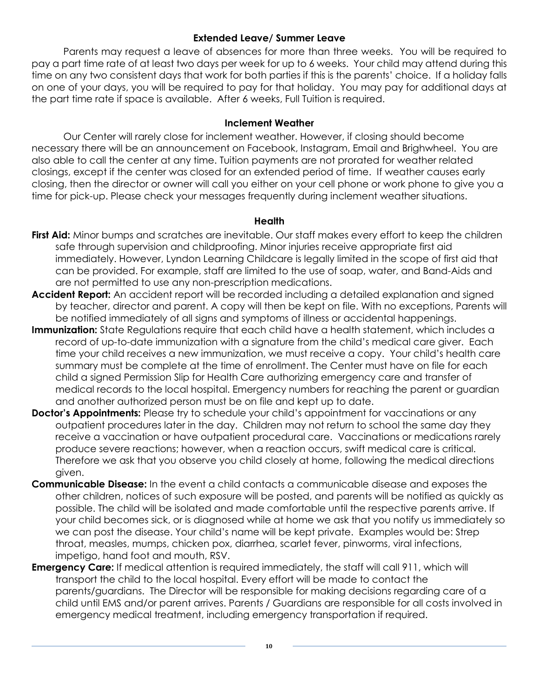## **Extended Leave/ Summer Leave**

<span id="page-9-0"></span>Parents may request a leave of absences for more than three weeks. You will be required to pay a part time rate of at least two days per week for up to 6 weeks. Your child may attend during this time on any two consistent days that work for both parties if this is the parents' choice. If a holiday falls on one of your days, you will be required to pay for that holiday. You may pay for additional days at the part time rate if space is available. After 6 weeks, Full Tuition is required.

## **Inclement Weather**

<span id="page-9-1"></span>Our Center will rarely close for inclement weather. However, if closing should become necessary there will be an announcement on Facebook, Instagram, Email and Brighwheel. You are also able to call the center at any time. Tuition payments are not prorated for weather related closings, except if the center was closed for an extended period of time. If weather causes early closing, then the director or owner will call you either on your cell phone or work phone to give you a time for pick-up. Please check your messages frequently during inclement weather situations.

## **Health**

- <span id="page-9-3"></span><span id="page-9-2"></span>**First Aid:** Minor bumps and scratches are inevitable. Our staff makes every effort to keep the children safe through supervision and childproofing. Minor injuries receive appropriate first aid immediately. However, Lyndon Learning Childcare is legally limited in the scope of first aid that can be provided. For example, staff are limited to the use of soap, water, and Band-Aids and are not permitted to use any non-prescription medications.
- <span id="page-9-4"></span>**Accident Report:** An accident report will be recorded including a detailed explanation and signed by teacher, director and parent. A copy will then be kept on file. With no exceptions, Parents will be notified immediately of all signs and symptoms of illness or accidental happenings.
- <span id="page-9-5"></span>**Immunization:** State Regulations require that each child have a health statement, which includes a record of up-to-date immunization with a signature from the child's medical care giver. Each time your child receives a new immunization, we must receive a copy. Your child's health care summary must be complete at the time of enrollment. The Center must have on file for each child a signed Permission Slip for Health Care authorizing emergency care and transfer of medical records to the local hospital. Emergency numbers for reaching the parent or guardian and another authorized person must be on file and kept up to date.
- <span id="page-9-6"></span>**Doctor's Appointments:** Please try to schedule your child's appointment for vaccinations or any outpatient procedures later in the day. Children may not return to school the same day they receive a vaccination or have outpatient procedural care. Vaccinations or medications rarely produce severe reactions; however, when a reaction occurs, swift medical care is critical. Therefore we ask that you observe you child closely at home, following the medical directions given.
- <span id="page-9-7"></span>**Communicable Disease:** In the event a child contacts a communicable disease and exposes the other children, notices of such exposure will be posted, and parents will be notified as quickly as possible. The child will be isolated and made comfortable until the respective parents arrive. If your child becomes sick, or is diagnosed while at home we ask that you notify us immediately so we can post the disease. Your child's name will be kept private. Examples would be: Strep throat, measles, mumps, chicken pox, diarrhea, scarlet fever, pinworms, viral infections, impetigo, hand foot and mouth, RSV.
- <span id="page-9-8"></span>**Emergency Care:** If medical attention is required immediately, the staff will call 911, which will transport the child to the local hospital. Every effort will be made to contact the parents/guardians. The Director will be responsible for making decisions regarding care of a child until EMS and/or parent arrives. Parents / Guardians are responsible for all costs involved in emergency medical treatment, including emergency transportation if required.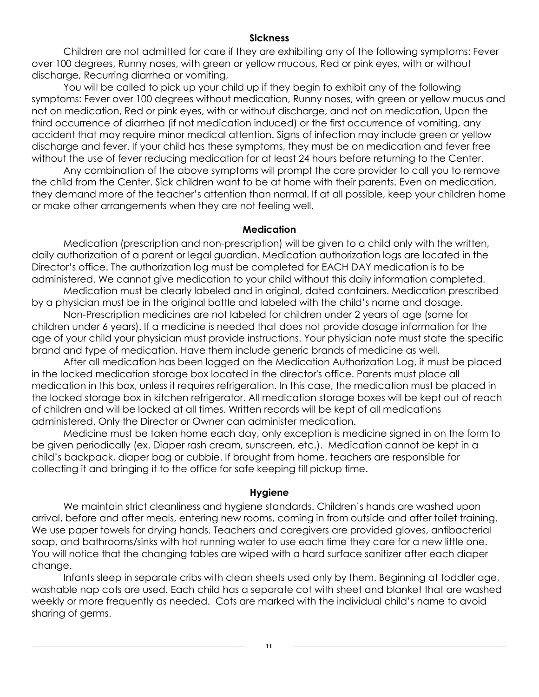## **Sickness**

<span id="page-10-0"></span>Children are not admitted for care if they are exhibiting any of the following symptoms: Fever over 100 degrees, Runny noses, with green or yellow mucous, Red or pink eyes, with or without discharge, Recurring diarrhea or vomiting,

You will be called to pick up your child up if they begin to exhibit any of the following symptoms: Fever over 100 degrees without medication, Runny noses, with green or yellow mucus and not on medication, Red or pink eyes, with or without discharge, and not on medication, Upon the third occurrence of diarrhea (if not medication induced) or the first occurrence of vomiting, any accident that may require minor medical attention. Signs of infection may include green or yellow discharge and fever. If your child has these symptoms, they must be on medication and fever free without the use of fever reducing medication for at least 24 hours before returning to the Center.

Any combination of the above symptoms will prompt the care provider to call you to remove the child from the Center. Sick children want to be at home with their parents. Even on medication, they demand more of the teacher's attention than normal. If at all possible, keep your children home or make other arrangements when they are not feeling well.

## **Medication**

<span id="page-10-1"></span>Medication (prescription and non-prescription) will be given to a child only with the written, daily authorization of a parent or legal guardian. Medication authorization logs are located in the Director's office. The authorization log must be completed for EACH DAY medication is to be administered. We cannot give medication to your child without this daily information completed.

Medication must be clearly labeled and in original, dated containers. Medication prescribed by a physician must be in the original bottle and labeled with the child's name and dosage.

Non-Prescription medicines are not labeled for children under 2 years of age (some for children under 6 years). If a medicine is needed that does not provide dosage information for the age of your child your physician must provide instructions. Your physician note must state the specific brand and type of medication. Have them include generic brands of medicine as well.

After all medication has been logged on the Medication Authorization Log, it must be placed in the locked medication storage box located in the director's office. Parents must place all medication in this box, unless it requires refrigeration. In this case, the medication must be placed in the locked storage box in kitchen refrigerator. All medication storage boxes will be kept out of reach of children and will be locked at all times. Written records will be kept of all medications administered. Only the Director or Owner can administer medication.

Medicine must be taken home each day, only exception is medicine signed in on the form to be given periodically (ex. Diaper rash cream, sunscreen, etc.). Medication cannot be kept in a child's backpack, diaper bag or cubbie. If brought from home, teachers are responsible for collecting it and bringing it to the office for safe keeping till pickup time.

## **Hygiene**

<span id="page-10-2"></span>We maintain strict cleanliness and hygiene standards. Children's hands are washed upon arrival, before and after meals, entering new rooms, coming in from outside and after toilet training. We use paper towels for drying hands. Teachers and caregivers are provided gloves, antibacterial soap, and bathrooms/sinks with hot running water to use each time they care for a new little one. You will notice that the changing tables are wiped with a hard surface sanitizer after each diaper change.

Infants sleep in separate cribs with clean sheets used only by them. Beginning at toddler age, washable nap cots are used. Each child has a separate cot with sheet and blanket that are washed weekly or more frequently as needed. Cots are marked with the individual child's name to avoid sharing of germs.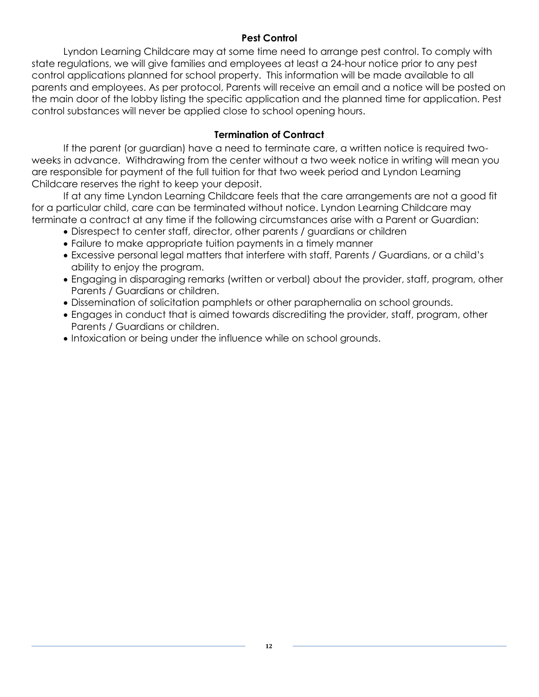## **Pest Control**

<span id="page-11-0"></span>Lyndon Learning Childcare may at some time need to arrange pest control. To comply with state regulations, we will give families and employees at least a 24-hour notice prior to any pest control applications planned for school property. This information will be made available to all parents and employees. As per protocol, Parents will receive an email and a notice will be posted on the main door of the lobby listing the specific application and the planned time for application. Pest control substances will never be applied close to school opening hours.

## **Termination of Contract**

<span id="page-11-1"></span>If the parent (or guardian) have a need to terminate care, a written notice is required twoweeks in advance. Withdrawing from the center without a two week notice in writing will mean you are responsible for payment of the full tuition for that two week period and Lyndon Learning Childcare reserves the right to keep your deposit.

If at any time Lyndon Learning Childcare feels that the care arrangements are not a good fit for a particular child, care can be terminated without notice. Lyndon Learning Childcare may terminate a contract at any time if the following circumstances arise with a Parent or Guardian:

- Disrespect to center staff, director, other parents / guardians or children
- Failure to make appropriate tuition payments in a timely manner
- Excessive personal legal matters that interfere with staff, Parents / Guardians, or a child's ability to enjoy the program.
- Engaging in disparaging remarks (written or verbal) about the provider, staff, program, other Parents / Guardians or children.
- Dissemination of solicitation pamphlets or other paraphernalia on school grounds.
- Engages in conduct that is aimed towards discrediting the provider, staff, program, other Parents / Guardians or children.
- Intoxication or being under the influence while on school grounds.